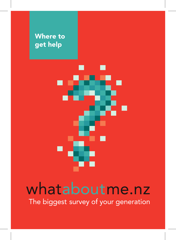

## whataboutme.nz

The biggest survey of your generation